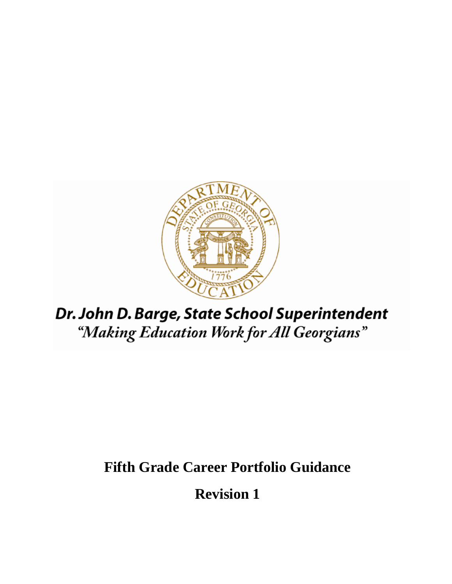

# Dr. John D. Barge, State School Superintendent "Making Education Work for All Georgians"

# **Fifth Grade Career Portfolio Guidance**

**Revision 1**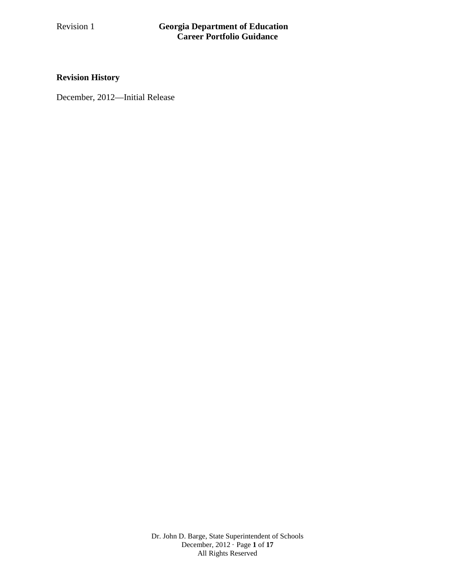### **Revision History**

December, 2012—Initial Release

Dr. John D. Barge, State Superintendent of Schools December, 2012 · Page **1** of **17** All Rights Reserved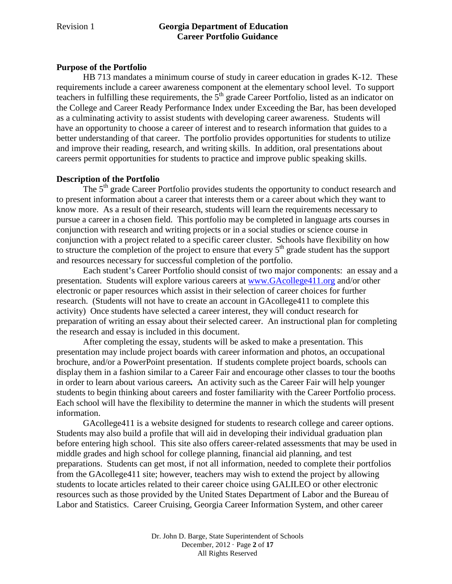#### **Purpose of the Portfolio**

HB 713 mandates a minimum course of study in career education in grades K-12. These requirements include a career awareness component at the elementary school level. To support teachers in fulfilling these requirements, the  $5<sup>th</sup>$  grade Career Portfolio, listed as an indicator on the College and Career Ready Performance Index under Exceeding the Bar, has been developed as a culminating activity to assist students with developing career awareness. Students will have an opportunity to choose a career of interest and to research information that guides to a better understanding of that career. The portfolio provides opportunities for students to utilize and improve their reading, research, and writing skills. In addition, oral presentations about careers permit opportunities for students to practice and improve public speaking skills.

#### **Description of the Portfolio**

The  $5<sup>th</sup>$  grade Career Portfolio provides students the opportunity to conduct research and to present information about a career that interests them or a career about which they want to know more. As a result of their research, students will learn the requirements necessary to pursue a career in a chosen field. This portfolio may be completed in language arts courses in conjunction with research and writing projects or in a social studies or science course in conjunction with a project related to a specific career cluster. Schools have flexibility on how to structure the completion of the project to ensure that every  $5<sup>th</sup>$  grade student has the support and resources necessary for successful completion of the portfolio.

Each student's Career Portfolio should consist of two major components: an essay and a presentation. Students will explore various careers at [www.GAcollege411.org](http://www.gacollege411.org/) and/or other electronic or paper resources which assist in their selection of career choices for further research. (Students will not have to create an account in GAcollege411 to complete this activity) Once students have selected a career interest, they will conduct research for preparation of writing an essay about their selected career. An instructional plan for completing the research and essay is included in this document.

After completing the essay, students will be asked to make a presentation. This presentation may include project boards with career information and photos, an occupational brochure, and/or a PowerPoint presentation. If students complete project boards, schools can display them in a fashion similar to a Career Fair and encourage other classes to tour the booths in order to learn about various careers*.* An activity such as the Career Fair will help younger students to begin thinking about careers and foster familiarity with the Career Portfolio process. Each school will have the flexibility to determine the manner in which the students will present information.

GAcollege411 is a website designed for students to research college and career options. Students may also build a profile that will aid in developing their individual graduation plan before entering high school. This site also offers career-related assessments that may be used in middle grades and high school for college planning, financial aid planning, and test preparations. Students can get most, if not all information, needed to complete their portfolios from the GAcollege411 site; however, teachers may wish to extend the project by allowing students to locate articles related to their career choice using GALILEO or other electronic resources such as those provided by the United States Department of Labor and the Bureau of Labor and Statistics. Career Cruising, Georgia Career Information System, and other career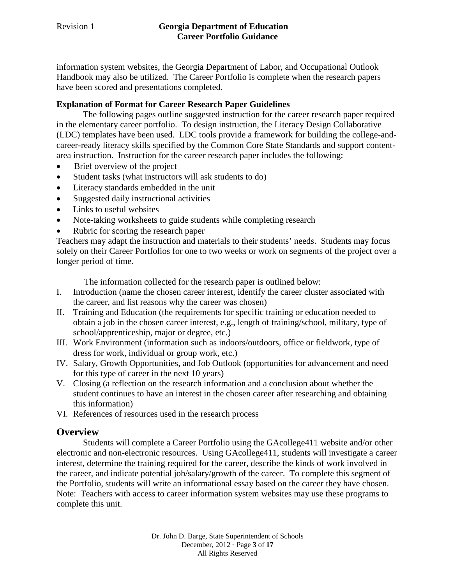information system websites, the Georgia Department of Labor, and Occupational Outlook Handbook may also be utilized. The Career Portfolio is complete when the research papers have been scored and presentations completed.

#### **Explanation of Format for Career Research Paper Guidelines**

The following pages outline suggested instruction for the career research paper required in the elementary career portfolio. To design instruction, the Literacy Design Collaborative (LDC) templates have been used. LDC tools provide a framework for building the college-andcareer-ready literacy skills specified by the Common Core State Standards and support contentarea instruction. Instruction for the career research paper includes the following:

- Brief overview of the project
- Student tasks (what instructors will ask students to do)
- Literacy standards embedded in the unit
- Suggested daily instructional activities
- Links to useful websites
- Note-taking worksheets to guide students while completing research
- Rubric for scoring the research paper

Teachers may adapt the instruction and materials to their students' needs. Students may focus solely on their Career Portfolios for one to two weeks or work on segments of the project over a longer period of time.

The information collected for the research paper is outlined below:

- I. Introduction (name the chosen career interest, identify the career cluster associated with the career, and list reasons why the career was chosen)
- II. Training and Education (the requirements for specific training or education needed to obtain a job in the chosen career interest, e.g., length of training/school, military, type of school/apprenticeship, major or degree, etc.)
- III. Work Environment (information such as indoors/outdoors, office or fieldwork, type of dress for work, individual or group work, etc.)
- IV. Salary, Growth Opportunities, and Job Outlook (opportunities for advancement and need for this type of career in the next 10 years)
- V. Closing (a reflection on the research information and a conclusion about whether the student continues to have an interest in the chosen career after researching and obtaining this information)
- VI. References of resources used in the research process

# **Overview**

Students will complete a Career Portfolio using the GAcollege411 website and/or other electronic and non-electronic resources. Using GAcollege411, students will investigate a career interest, determine the training required for the career, describe the kinds of work involved in the career, and indicate potential job/salary/growth of the career. To complete this segment of the Portfolio, students will write an informational essay based on the career they have chosen. Note: Teachers with access to career information system websites may use these programs to complete this unit.

> Dr. John D. Barge, State Superintendent of Schools December, 2012 · Page **3** of **17** All Rights Reserved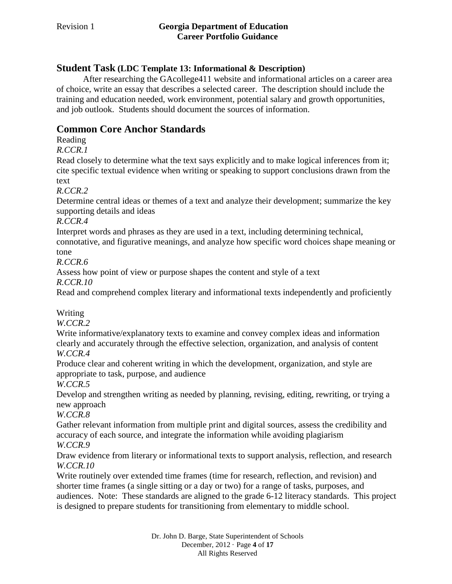# **Student Task (LDC Template 13: Informational & Description)**

After researching the GAcollege411 website and informational articles on a career area of choice, write an essay that describes a selected career. The description should include the training and education needed, work environment, potential salary and growth opportunities, and job outlook. Students should document the sources of information.

# **Common Core Anchor Standards**

Reading

*R.CCR.1*

Read closely to determine what the text says explicitly and to make logical inferences from it; cite specific textual evidence when writing or speaking to support conclusions drawn from the text

*R.CCR.2*

Determine central ideas or themes of a text and analyze their development; summarize the key supporting details and ideas

*R.CCR.4*

Interpret words and phrases as they are used in a text, including determining technical,

connotative, and figurative meanings, and analyze how specific word choices shape meaning or tone

*R.CCR.6*

Assess how point of view or purpose shapes the content and style of a text

*R.CCR.10*

Read and comprehend complex literary and informational texts independently and proficiently

Writing

*W.CCR.2*

Write informative/explanatory texts to examine and convey complex ideas and information clearly and accurately through the effective selection, organization, and analysis of content *W.CCR.4*

Produce clear and coherent writing in which the development, organization, and style are appropriate to task, purpose, and audience

*W.CCR.5*

Develop and strengthen writing as needed by planning, revising, editing, rewriting, or trying a new approach

*W.CCR.8*

Gather relevant information from multiple print and digital sources, assess the credibility and accuracy of each source, and integrate the information while avoiding plagiarism

*W.CCR.9*

Draw evidence from literary or informational texts to support analysis, reflection, and research *W.CCR.10*

Write routinely over extended time frames (time for research, reflection, and revision) and shorter time frames (a single sitting or a day or two) for a range of tasks, purposes, and audiences. Note: These standards are aligned to the grade 6-12 literacy standards. This project is designed to prepare students for transitioning from elementary to middle school.

> Dr. John D. Barge, State Superintendent of Schools December, 2012 · Page **4** of **17** All Rights Reserved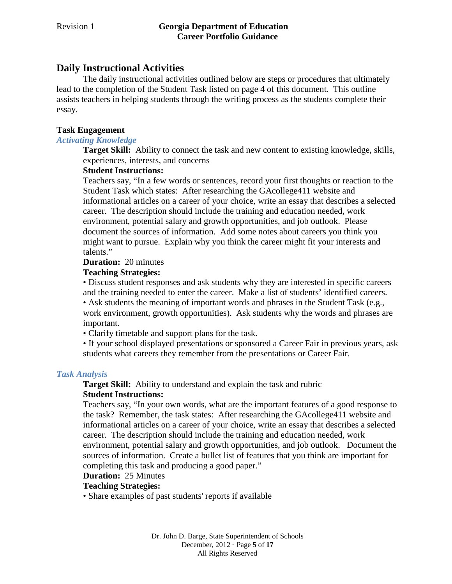# **Daily Instructional Activities**

The daily instructional activities outlined below are steps or procedures that ultimately lead to the completion of the Student Task listed on page 4 of this document. This outline assists teachers in helping students through the writing process as the students complete their essay.

#### **Task Engagement**

#### *Activating Knowledge*

**Target Skill:** Ability to connect the task and new content to existing knowledge, skills, experiences, interests, and concerns

#### **Student Instructions:**

Teachers say, "In a few words or sentences, record your first thoughts or reaction to the Student Task which states: After researching the GAcollege411 website and informational articles on a career of your choice, write an essay that describes a selected career. The description should include the training and education needed, work environment, potential salary and growth opportunities, and job outlook. Please document the sources of information. Add some notes about careers you think you might want to pursue. Explain why you think the career might fit your interests and talents."

#### **Duration:** 20 minutes

#### **Teaching Strategies:**

• Discuss student responses and ask students why they are interested in specific careers and the training needed to enter the career. Make a list of students' identified careers. • Ask students the meaning of important words and phrases in the Student Task (e.g., work environment, growth opportunities). Ask students why the words and phrases are important.

• Clarify timetable and support plans for the task.

• If your school displayed presentations or sponsored a Career Fair in previous years, ask students what careers they remember from the presentations or Career Fair.

#### *Task Analysis*

**Target Skill:** Ability to understand and explain the task and rubric

#### **Student Instructions:**

Teachers say, "In your own words, what are the important features of a good response to the task? Remember, the task states: After researching the GAcollege411 website and informational articles on a career of your choice, write an essay that describes a selected career. The description should include the training and education needed, work environment, potential salary and growth opportunities, and job outlook. Document the sources of information. Create a bullet list of features that you think are important for completing this task and producing a good paper."

#### **Duration:** 25 Minutes

#### **Teaching Strategies:**

• Share examples of past students' reports if available

Dr. John D. Barge, State Superintendent of Schools December, 2012 · Page **5** of **17** All Rights Reserved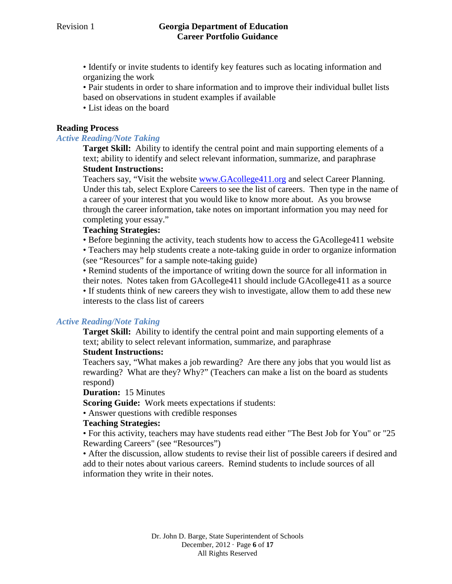- Identify or invite students to identify key features such as locating information and organizing the work
- Pair students in order to share information and to improve their individual bullet lists based on observations in student examples if available
- List ideas on the board

#### **Reading Process**

#### *Active Reading/Note Taking*

**Target Skill:** Ability to identify the central point and main supporting elements of a text; ability to identify and select relevant information, summarize, and paraphrase

#### **Student Instructions:**

Teachers say, "Visit the website [www.GAcollege411.org](http://www.gacollege411.org/) and select Career Planning. Under this tab, select Explore Careers to see the list of careers. Then type in the name of a career of your interest that you would like to know more about. As you browse through the career information, take notes on important information you may need for completing your essay."

#### **Teaching Strategies:**

• Before beginning the activity, teach students how to access the GAcollege411 website

• Teachers may help students create a note-taking guide in order to organize information (see "Resources" for a sample note-taking guide)

• Remind students of the importance of writing down the source for all information in their notes. Notes taken from GAcollege411 should include GAcollege411 as a source • If students think of new careers they wish to investigate, allow them to add these new interests to the class list of careers

#### *Active Reading/Note Taking*

**Target Skill:** Ability to identify the central point and main supporting elements of a text; ability to select relevant information, summarize, and paraphrase

#### **Student Instructions:**

Teachers say, "What makes a job rewarding? Are there any jobs that you would list as rewarding? What are they? Why?" (Teachers can make a list on the board as students respond)

#### **Duration:** 15 Minutes

**Scoring Guide:** Work meets expectations if students:

• Answer questions with credible responses

#### **Teaching Strategies:**

• For this activity, teachers may have students read either "The Best Job for You" or "25 Rewarding Careers" (see "Resources")

• After the discussion, allow students to revise their list of possible careers if desired and add to their notes about various careers. Remind students to include sources of all information they write in their notes.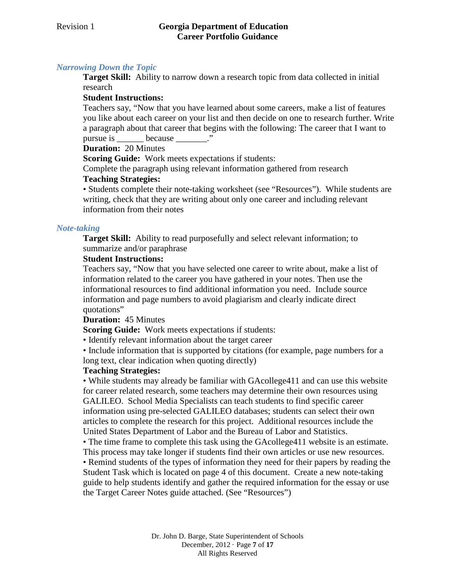# *Narrowing Down the Topic*

**Target Skill:** Ability to narrow down a research topic from data collected in initial research

#### **Student Instructions:**

Teachers say, "Now that you have learned about some careers, make a list of features you like about each career on your list and then decide on one to research further. Write a paragraph about that career that begins with the following: The career that I want to pursue is because  $\cdots$ 

**Duration:** 20 Minutes

**Scoring Guide:** Work meets expectations if students:

Complete the paragraph using relevant information gathered from research

#### **Teaching Strategies:**

• Students complete their note-taking worksheet (see "Resources"). While students are writing, check that they are writing about only one career and including relevant information from their notes

#### *Note-taking*

**Target Skill:** Ability to read purposefully and select relevant information; to summarize and/or paraphrase

#### **Student Instructions:**

Teachers say, "Now that you have selected one career to write about, make a list of information related to the career you have gathered in your notes. Then use the informational resources to find additional information you need. Include source information and page numbers to avoid plagiarism and clearly indicate direct quotations"

#### **Duration:** 45 Minutes

**Scoring Guide:** Work meets expectations if students:

• Identify relevant information about the target career

• Include information that is supported by citations (for example, page numbers for a long text, clear indication when quoting directly)

#### **Teaching Strategies:**

• While students may already be familiar with GAcollege411 and can use this website for career related research, some teachers may determine their own resources using GALILEO. School Media Specialists can teach students to find specific career information using pre-selected GALILEO databases; students can select their own articles to complete the research for this project. Additional resources include the United States Department of Labor and the Bureau of Labor and Statistics.

• The time frame to complete this task using the GAcollege411 website is an estimate. This process may take longer if students find their own articles or use new resources. • Remind students of the types of information they need for their papers by reading the Student Task which is located on page 4 of this document. Create a new note-taking guide to help students identify and gather the required information for the essay or use the Target Career Notes guide attached. (See "Resources")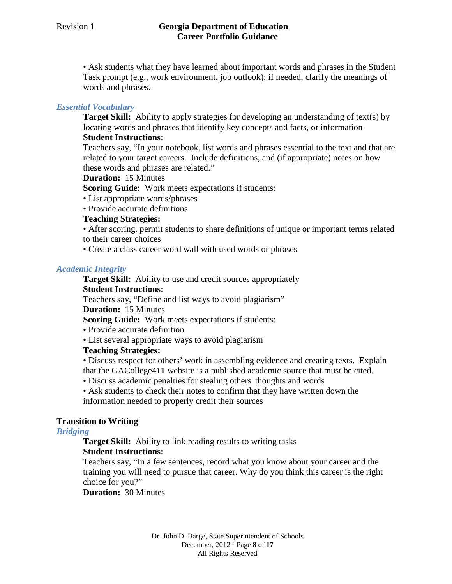• Ask students what they have learned about important words and phrases in the Student Task prompt (e.g., work environment, job outlook); if needed, clarify the meanings of words and phrases.

#### *Essential Vocabulary*

**Target Skill:** Ability to apply strategies for developing an understanding of text(s) by locating words and phrases that identify key concepts and facts, or information

#### **Student Instructions:**

Teachers say, "In your notebook, list words and phrases essential to the text and that are related to your target careers. Include definitions, and (if appropriate) notes on how these words and phrases are related."

#### **Duration:** 15 Minutes

**Scoring Guide:** Work meets expectations if students:

- List appropriate words/phrases
- Provide accurate definitions

#### **Teaching Strategies:**

• After scoring, permit students to share definitions of unique or important terms related to their career choices

• Create a class career word wall with used words or phrases

#### *Academic Integrity*

**Target Skill:** Ability to use and credit sources appropriately

#### **Student Instructions:**

Teachers say, "Define and list ways to avoid plagiarism"

#### **Duration:** 15 Minutes

**Scoring Guide:** Work meets expectations if students:

- Provide accurate definition
- List several appropriate ways to avoid plagiarism

#### **Teaching Strategies:**

• Discuss respect for others' work in assembling evidence and creating texts. Explain that the GACollege411 website is a published academic source that must be cited.

- Discuss academic penalties for stealing others' thoughts and words
- Ask students to check their notes to confirm that they have written down the information needed to properly credit their sources

#### **Transition to Writing**

#### *Bridging*

**Target Skill:** Ability to link reading results to writing tasks

#### **Student Instructions:**

Teachers say, "In a few sentences, record what you know about your career and the training you will need to pursue that career. Why do you think this career is the right choice for you?"

**Duration:** 30 Minutes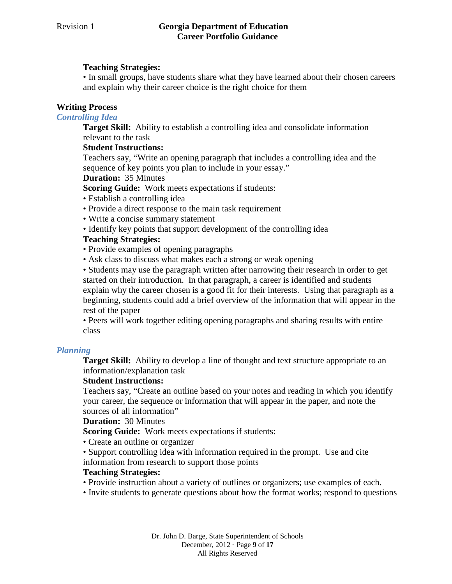#### **Teaching Strategies:**

• In small groups, have students share what they have learned about their chosen careers and explain why their career choice is the right choice for them

#### **Writing Process**

#### *Controlling Idea*

**Target Skill:** Ability to establish a controlling idea and consolidate information relevant to the task

#### **Student Instructions:**

Teachers say, "Write an opening paragraph that includes a controlling idea and the sequence of key points you plan to include in your essay."

**Duration:** 35 Minutes

**Scoring Guide:** Work meets expectations if students:

- Establish a controlling idea
- Provide a direct response to the main task requirement
- Write a concise summary statement
- Identify key points that support development of the controlling idea

#### **Teaching Strategies:**

- Provide examples of opening paragraphs
- Ask class to discuss what makes each a strong or weak opening

• Students may use the paragraph written after narrowing their research in order to get started on their introduction. In that paragraph, a career is identified and students explain why the career chosen is a good fit for their interests. Using that paragraph as a beginning, students could add a brief overview of the information that will appear in the rest of the paper

• Peers will work together editing opening paragraphs and sharing results with entire class

#### *Planning*

**Target Skill:** Ability to develop a line of thought and text structure appropriate to an information/explanation task

#### **Student Instructions:**

Teachers say, "Create an outline based on your notes and reading in which you identify your career, the sequence or information that will appear in the paper, and note the sources of all information"

**Duration:** 30 Minutes

**Scoring Guide:** Work meets expectations if students:

- Create an outline or organizer
- Support controlling idea with information required in the prompt. Use and cite information from research to support those points

#### **Teaching Strategies:**

- Provide instruction about a variety of outlines or organizers; use examples of each.
- Invite students to generate questions about how the format works; respond to questions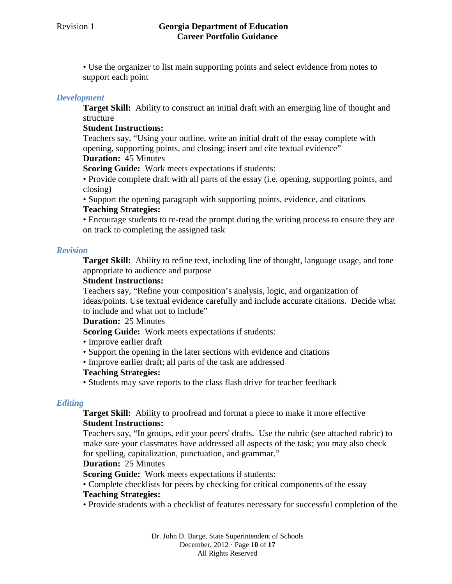• Use the organizer to list main supporting points and select evidence from notes to support each point

#### *Development*

**Target Skill:** Ability to construct an initial draft with an emerging line of thought and structure

#### **Student Instructions:**

Teachers say, "Using your outline, write an initial draft of the essay complete with opening, supporting points, and closing; insert and cite textual evidence"

# **Duration:** 45 Minutes

**Scoring Guide:** Work meets expectations if students:

• Provide complete draft with all parts of the essay (i.e. opening, supporting points, and closing)

• Support the opening paragraph with supporting points, evidence, and citations **Teaching Strategies:** 

• Encourage students to re-read the prompt during the writing process to ensure they are on track to completing the assigned task

#### *Revision*

**Target Skill:** Ability to refine text, including line of thought, language usage, and tone appropriate to audience and purpose

#### **Student Instructions:**

Teachers say, "Refine your composition's analysis, logic, and organization of ideas/points. Use textual evidence carefully and include accurate citations. Decide what to include and what not to include"

**Duration:** 25 Minutes

**Scoring Guide:** Work meets expectations if students:

- Improve earlier draft
- Support the opening in the later sections with evidence and citations
- Improve earlier draft; all parts of the task are addressed

#### **Teaching Strategies:**

• Students may save reports to the class flash drive for teacher feedback

#### *Editing*

**Target Skill:** Ability to proofread and format a piece to make it more effective **Student Instructions:** 

Teachers say, "In groups, edit your peers' drafts. Use the rubric (see attached rubric) to make sure your classmates have addressed all aspects of the task; you may also check for spelling, capitalization, punctuation, and grammar."

#### **Duration:** 25 Minutes

**Scoring Guide:** Work meets expectations if students:

• Complete checklists for peers by checking for critical components of the essay **Teaching Strategies:** 

#### • Provide students with a checklist of features necessary for successful completion of the

Dr. John D. Barge, State Superintendent of Schools December, 2012 · Page **10** of **17** All Rights Reserved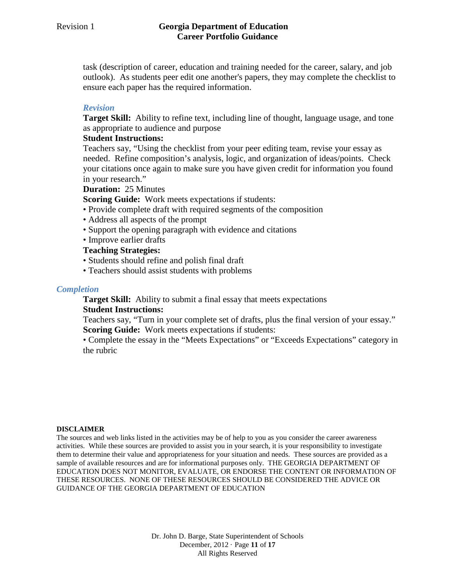task (description of career, education and training needed for the career, salary, and job outlook). As students peer edit one another's papers, they may complete the checklist to ensure each paper has the required information.

#### *Revision*

**Target Skill:** Ability to refine text, including line of thought, language usage, and tone as appropriate to audience and purpose

#### **Student Instructions:**

Teachers say, "Using the checklist from your peer editing team, revise your essay as needed. Refine composition's analysis, logic, and organization of ideas/points. Check your citations once again to make sure you have given credit for information you found in your research."

#### **Duration:** 25 Minutes

**Scoring Guide:** Work meets expectations if students:

- Provide complete draft with required segments of the composition
- Address all aspects of the prompt
- Support the opening paragraph with evidence and citations
- Improve earlier drafts

#### **Teaching Strategies:**

- Students should refine and polish final draft
- Teachers should assist students with problems

#### *Completion*

**Target Skill:** Ability to submit a final essay that meets expectations **Student Instructions:** 

Teachers say, "Turn in your complete set of drafts, plus the final version of your essay." **Scoring Guide:** Work meets expectations if students:

• Complete the essay in the "Meets Expectations" or "Exceeds Expectations" category in the rubric

#### **DISCLAIMER**

The sources and web links listed in the activities may be of help to you as you consider the career awareness activities. While these sources are provided to assist you in your search, it is your responsibility to investigate them to determine their value and appropriateness for your situation and needs. These sources are provided as a sample of available resources and are for informational purposes only. THE GEORGIA DEPARTMENT OF EDUCATION DOES NOT MONITOR, EVALUATE, OR ENDORSE THE CONTENT OR INFORMATION OF THESE RESOURCES. NONE OF THESE RESOURCES SHOULD BE CONSIDERED THE ADVICE OR GUIDANCE OF THE GEORGIA DEPARTMENT OF EDUCATION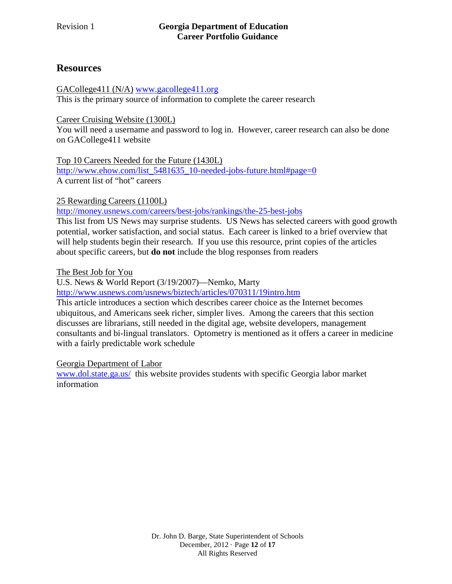# **Resources**

[GACollege411 \(N/A\)](https://secure.gacollege411.org/) [www.gacollege411.org](http://www.gacollege411.org/) This is the primary source of information to complete the career research

[Career Cruising Website \(1300L\)](http://public.careercruising.com/us/en)

You will need a username and password to log in. However, career research can also be done on GACollege411 website

[Top 10 Careers Needed for the Future \(1430L\)](http://www.ehow.com/list_5481635_10-needed-jobs-future.html)

[http://www.ehow.com/list\\_5481635\\_10-needed-jobs-future.html#page=0](http://www.ehow.com/list_5481635_10-needed-jobs-future.html#page=0) A current list of "hot" careers

[25 Rewarding Careers \(1100L\)](http://money.usnews.com/careers/best-jobs/rankings/the-25-best-jobs)

<http://money.usnews.com/careers/best-jobs/rankings/the-25-best-jobs>

This list from US News may surprise students. US News has selected careers with good growth potential, worker satisfaction, and social status. Each career is linked to a brief overview that will help students begin their research. If you use this resource, print copies of the articles about specific careers, but **do not** include the blog responses from readers

The Best Job for You

U.S. News & World Report (3/19/2007)—Nemko, Marty

<http://www.usnews.com/usnews/biztech/articles/070311/19intro.htm>

This article introduces a section which describes career choice as the Internet becomes ubiquitous, and Americans seek richer, simpler lives. Among the careers that this section discusses are librarians, still needed in the digital age, website developers, management consultants and bi-lingual translators. Optometry is mentioned as it offers a career in medicine with a fairly predictable work schedule

Georgia Department of Labor

[www.dol.state.ga.us/](http://www.dol.state.ga.us/) this website provides students with specific Georgia labor market information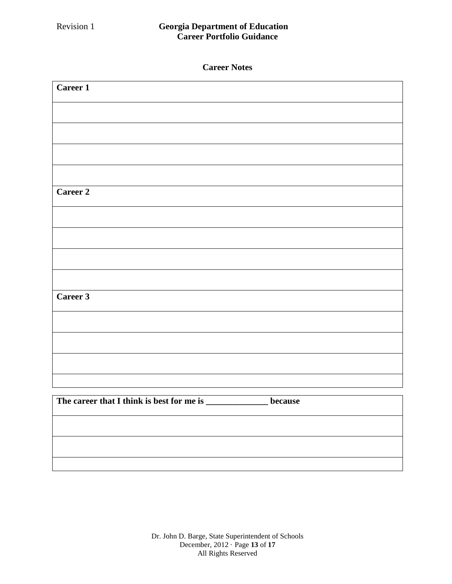| Career 1                                                          |  |
|-------------------------------------------------------------------|--|
|                                                                   |  |
|                                                                   |  |
|                                                                   |  |
|                                                                   |  |
| Career 2                                                          |  |
|                                                                   |  |
|                                                                   |  |
|                                                                   |  |
|                                                                   |  |
| Career 3                                                          |  |
|                                                                   |  |
|                                                                   |  |
|                                                                   |  |
|                                                                   |  |
| The career that I think is best for me is _______________ because |  |
|                                                                   |  |
|                                                                   |  |
|                                                                   |  |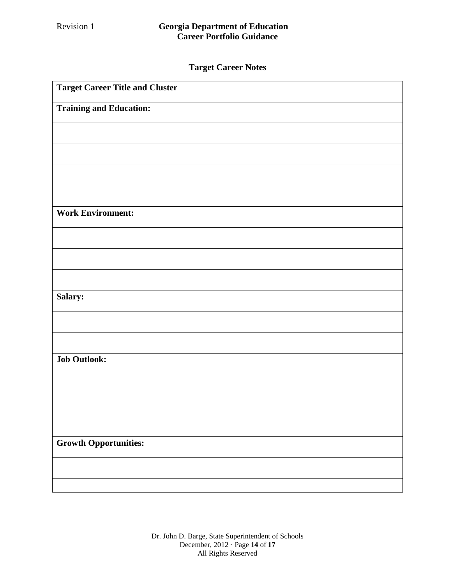# **Target Career Notes**

| <b>Target Career Title and Cluster</b> |
|----------------------------------------|
| <b>Training and Education:</b>         |
|                                        |
|                                        |
|                                        |
|                                        |
| <b>Work Environment:</b>               |
|                                        |
|                                        |
|                                        |
| Salary:                                |
|                                        |
|                                        |
| <b>Job Outlook:</b>                    |
|                                        |
|                                        |
|                                        |
| <b>Growth Opportunities:</b>           |
|                                        |
|                                        |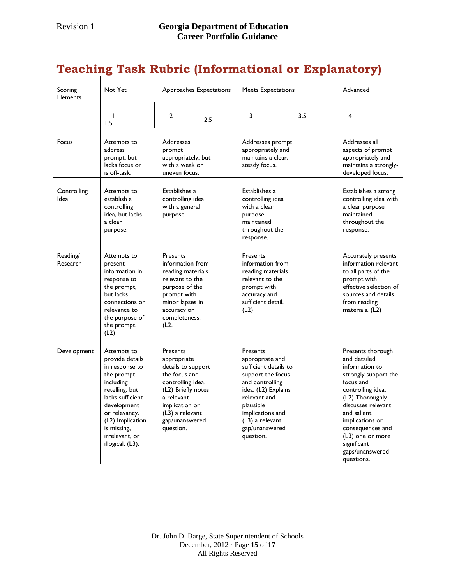# **Teaching Task Rubric (Informational or Explanatory)**

| Scoring<br><b>Elements</b> | Not Yet                                                                                                                                                                                                                     |                                                                                                                                                                                               | Approaches Expectations                                                                                                                      |  | <b>Meets Expectations</b>                                                                                                                                                                                              |  | Advanced                                                                                                                                                              |                                                                                                                                                                                                                                                                                  |
|----------------------------|-----------------------------------------------------------------------------------------------------------------------------------------------------------------------------------------------------------------------------|-----------------------------------------------------------------------------------------------------------------------------------------------------------------------------------------------|----------------------------------------------------------------------------------------------------------------------------------------------|--|------------------------------------------------------------------------------------------------------------------------------------------------------------------------------------------------------------------------|--|-----------------------------------------------------------------------------------------------------------------------------------------------------------------------|----------------------------------------------------------------------------------------------------------------------------------------------------------------------------------------------------------------------------------------------------------------------------------|
|                            | т<br>1.5                                                                                                                                                                                                                    | $\overline{2}$                                                                                                                                                                                | 2.5                                                                                                                                          |  | 3                                                                                                                                                                                                                      |  | 3.5                                                                                                                                                                   | 4                                                                                                                                                                                                                                                                                |
| Focus                      | Attempts to<br>address<br>prompt, but<br>lacks focus or<br>is off-task.                                                                                                                                                     | prompt                                                                                                                                                                                        | <b>Addresses</b><br>appropriately, but<br>with a weak or<br>uneven focus.                                                                    |  | Addresses prompt<br>appropriately and<br>maintains a clear,<br>steady focus.                                                                                                                                           |  | Addresses all<br>aspects of prompt<br>appropriately and<br>maintains a strongly-<br>developed focus.                                                                  |                                                                                                                                                                                                                                                                                  |
| Controlling<br><b>Idea</b> | Attempts to<br>establish a<br>controlling<br>idea, but lacks<br>a clear<br>purpose.                                                                                                                                         | purpose.                                                                                                                                                                                      | Establishes a<br>controlling idea<br>with a general                                                                                          |  | Establishes a<br>controlling idea<br>with a clear<br>purpose<br>maintained<br>throughout the<br>response.                                                                                                              |  | Establishes a strong<br>controlling idea with<br>a clear purpose<br>maintained<br>throughout the<br>response.                                                         |                                                                                                                                                                                                                                                                                  |
| Reading/<br>Research       | Attempts to<br>present<br>information in<br>response to<br>the prompt,<br>but lacks<br>connections or<br>relevance to<br>the purpose of<br>the prompt.<br>(L2)                                                              | <b>Presents</b><br>(L2.                                                                                                                                                                       | information from<br>reading materials<br>relevant to the<br>purpose of the<br>prompt with<br>minor lapses in<br>accuracy or<br>completeness. |  | <b>Presents</b><br>information from<br>reading materials<br>relevant to the<br>prompt with<br>accuracy and<br>sufficient detail.<br>(L2)                                                                               |  | Accurately presents<br>information relevant<br>to all parts of the<br>prompt with<br>effective selection of<br>sources and details<br>from reading<br>materials. (L2) |                                                                                                                                                                                                                                                                                  |
| Development                | Attempts to<br>provide details<br>in response to<br>the prompt,<br>including<br>retelling, but<br>lacks sufficient<br>development<br>or relevancy.<br>(L2) Implication<br>is missing,<br>irrelevant, or<br>illogical. (L3). | Presents<br>appropriate<br>details to support<br>the focus and<br>controlling idea.<br>(L2) Briefly notes<br>a relevant<br>implication or<br>$(L3)$ a relevant<br>gap/unanswered<br>question. |                                                                                                                                              |  | Presents<br>appropriate and<br>sufficient details to<br>support the focus<br>and controlling<br>idea. (L2) Explains<br>relevant and<br>plausible<br>implications and<br>(L3) a relevant<br>gap/unanswered<br>question. |  |                                                                                                                                                                       | Presents thorough<br>and detailed<br>information to<br>strongly support the<br>focus and<br>controlling idea.<br>(L2) Thoroughly<br>discusses relevant<br>and salient<br>implications or<br>consequences and<br>(L3) one or more<br>significant<br>gaps/unanswered<br>questions. |